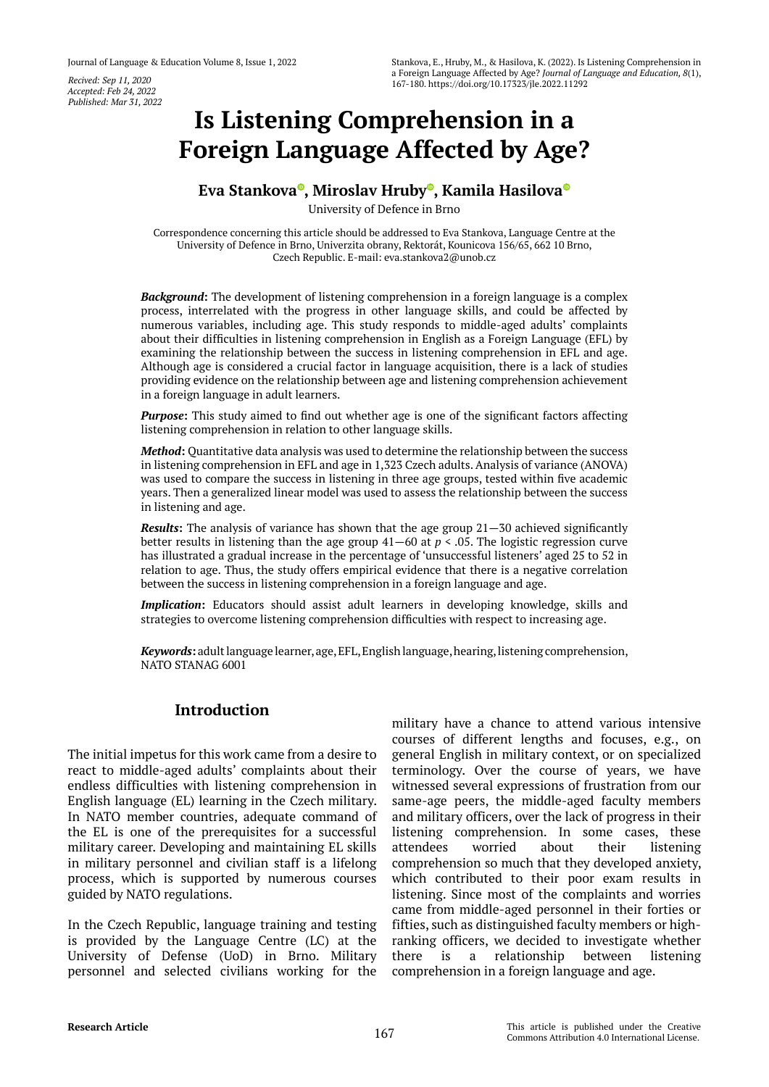*Accepted: Feb 24, 2022 Published: Mar 31, 2022*

# **Is Listening Comprehension in a Foreign Language Affected by Age?**

# **Eva Stankova [,](https://orcid.org/0000-0002-4616-6191) Miroslav Hrub[y](https://orcid.org/0000-0001-9417-2513) , Kamila Hasilov[a](https://orcid.org/0000-0003-1540-3489)**

University of Defence in Brno

Correspondence concerning this article should be addressed to Eva Stankova, Language Centre at the University of Defence in Brno, Univerzita obrany, Rektorát, Kounicova 156/65, 662 10 Brno, Czech Republic. E-mail: eva.stankova2@unob.cz

*Background***:** The development of listening comprehension in a foreign language is a complex process, interrelated with the progress in other language skills, and could be affected by numerous variables, including age. This study responds to middle-aged adults' complaints about their difficulties in listening comprehension in English as a Foreign Language (EFL) by examining the relationship between the success in listening comprehension in EFL and age. Although age is considered a crucial factor in language acquisition, there is a lack of studies providing evidence on the relationship between age and listening comprehension achievement in a foreign language in adult learners.

**Purpose:** This study aimed to find out whether age is one of the significant factors affecting listening comprehension in relation to other language skills.

*Method***:** Quantitative data analysis was used to determine the relationship between the success in listening comprehension in EFL and age in 1,323 Czech adults. Analysis of variance (ANOVA) was used to compare the success in listening in three age groups, tested within five academic years. Then a generalized linear model was used to assess the relationship between the success in listening and age.

*Results***:** The analysis of variance has shown that the age group 21—30 achieved significantly better results in listening than the age group 41—60 at *p* < .05. The logistic regression curve has illustrated a gradual increase in the percentage of 'unsuccessful listeners' aged 25 to 52 in relation to age. Thus, the study offers empirical evidence that there is a negative correlation between the success in listening comprehension in a foreign language and age.

*Implication*: Educators should assist adult learners in developing knowledge, skills and strategies to overcome listening comprehension difficulties with respect to increasing age.

*Keywords***:** adult language learner, age, EFL, English language, hearing, listening comprehension, NATO STANAG 6001

# **Introduction**

The initial impetus for this work came from a desire to react to middle-aged adults' complaints about their endless difficulties with listening comprehension in English language (EL) learning in the Czech military. In NATO member countries, adequate command of the EL is one of the prerequisites for a successful military career. Developing and maintaining EL skills in military personnel and civilian staff is a lifelong process, which is supported by numerous courses guided by NATO regulations.

In the Czech Republic, language training and testing is provided by the Language Centre (LC) at the University of Defense (UoD) in Brno. Military personnel and selected civilians working for the

military have a chance to attend various intensive courses of different lengths and focuses, e.g., on general English in military context, or on specialized terminology. Over the course of years, we have witnessed several expressions of frustration from our same-age peers, the middle-aged faculty members and military officers, over the lack of progress in their listening comprehension. In some cases, these attendees worried about their listening comprehension so much that they developed anxiety, which contributed to their poor exam results in listening. Since most of the complaints and worries came from middle-aged personnel in their forties or fifties, such as distinguished faculty members or highranking officers, we decided to investigate whether there is a relationship between listening comprehension in a foreign language and age.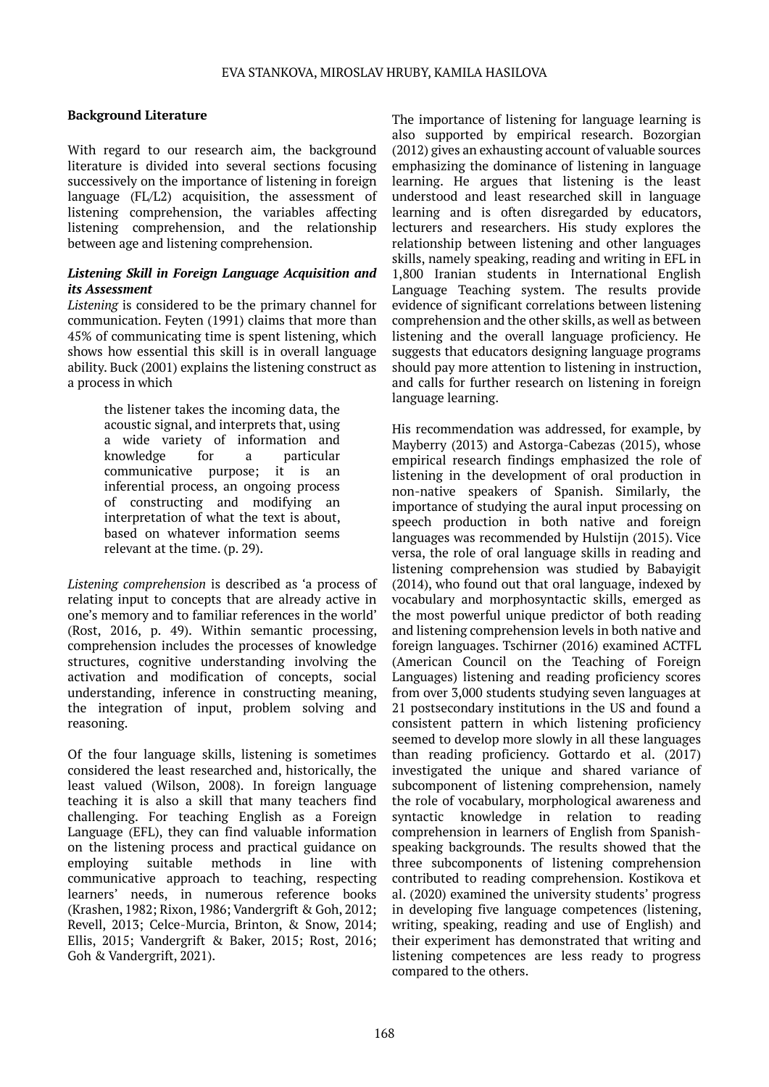## **Background Literature**

With regard to our research aim, the background literature is divided into several sections focusing successively on the importance of listening in foreign language (FL/L2) acquisition, the assessment of listening comprehension, the variables affecting listening comprehension, and the relationship between age and listening comprehension.

## *Listening Skill in Foreign Language Acquisition and its Assessment*

*Listening* is considered to be the primary channel for communication. Feyten (1991) claims that more than 45% of communicating time is spent listening, which shows how essential this skill is in overall language ability. Buck (2001) explains the listening construct as a process in which

> the listener takes the incoming data, the acoustic signal, and interprets that, using a wide variety of information and knowledge for a particular communicative purpose; it is an inferential process, an ongoing process of constructing and modifying an interpretation of what the text is about, based on whatever information seems relevant at the time. (p. 29).

*Listening comprehension* is described as 'a process of relating input to concepts that are already active in one's memory and to familiar references in the world' (Rost, 2016, p. 49). Within semantic processing, comprehension includes the processes of knowledge structures, cognitive understanding involving the activation and modification of concepts, social understanding, inference in constructing meaning, the integration of input, problem solving and reasoning.

Of the four language skills, listening is sometimes considered the least researched and, historically, the least valued (Wilson, 2008). In foreign language teaching it is also a skill that many teachers find challenging. For teaching English as a Foreign Language (EFL), they can find valuable information on the listening process and practical guidance on employing suitable methods in line with communicative approach to teaching, respecting learners' needs, in numerous reference books (Krashen, 1982; Rixon, 1986; Vandergrift & Goh, 2012; Revell, 2013; Celce-Murcia, Brinton, & Snow, 2014; Ellis, 2015; Vandergrift & Baker, 2015; Rost, 2016; Goh & Vandergrift, 2021).

The importance of listening for language learning is also supported by empirical research. Bozorgian (2012) gives an exhausting account of valuable sources emphasizing the dominance of listening in language learning. He argues that listening is the least understood and least researched skill in language learning and is often disregarded by educators, lecturers and researchers. His study explores the relationship between listening and other languages skills, namely speaking, reading and writing in EFL in 1,800 Iranian students in International English Language Teaching system. The results provide evidence of significant correlations between listening comprehension and the other skills, as well as between listening and the overall language proficiency. He suggests that educators designing language programs should pay more attention to listening in instruction, and calls for further research on listening in foreign language learning.

His recommendation was addressed, for example, by Mayberry (2013) and Astorga-Cabezas (2015), whose empirical research findings emphasized the role of listening in the development of oral production in non-native speakers of Spanish. Similarly, the importance of studying the aural input processing on speech production in both native and foreign languages was recommended by Hulstijn (2015). Vice versa, the role of oral language skills in reading and listening comprehension was studied by Babayigit (2014), who found out that oral language, indexed by vocabulary and morphosyntactic skills, emerged as the most powerful unique predictor of both reading and listening comprehension levels in both native and foreign languages. Tschirner (2016) examined ACTFL (American Council on the Teaching of Foreign Languages) listening and reading proficiency scores from over 3,000 students studying seven languages at 21 postsecondary institutions in the US and found a consistent pattern in which listening proficiency seemed to develop more slowly in all these languages than reading proficiency. Gottardo et al. (2017) investigated the unique and shared variance of subcomponent of listening comprehension, namely the role of vocabulary, morphological awareness and syntactic knowledge in relation to reading comprehension in learners of English from Spanishspeaking backgrounds. The results showed that the three subcomponents of listening comprehension contributed to reading comprehension. Kostikova et al. (2020) examined the university students' progress in developing five language competences (listening, writing, speaking, reading and use of English) and their experiment has demonstrated that writing and listening competences are less ready to progress compared to the others.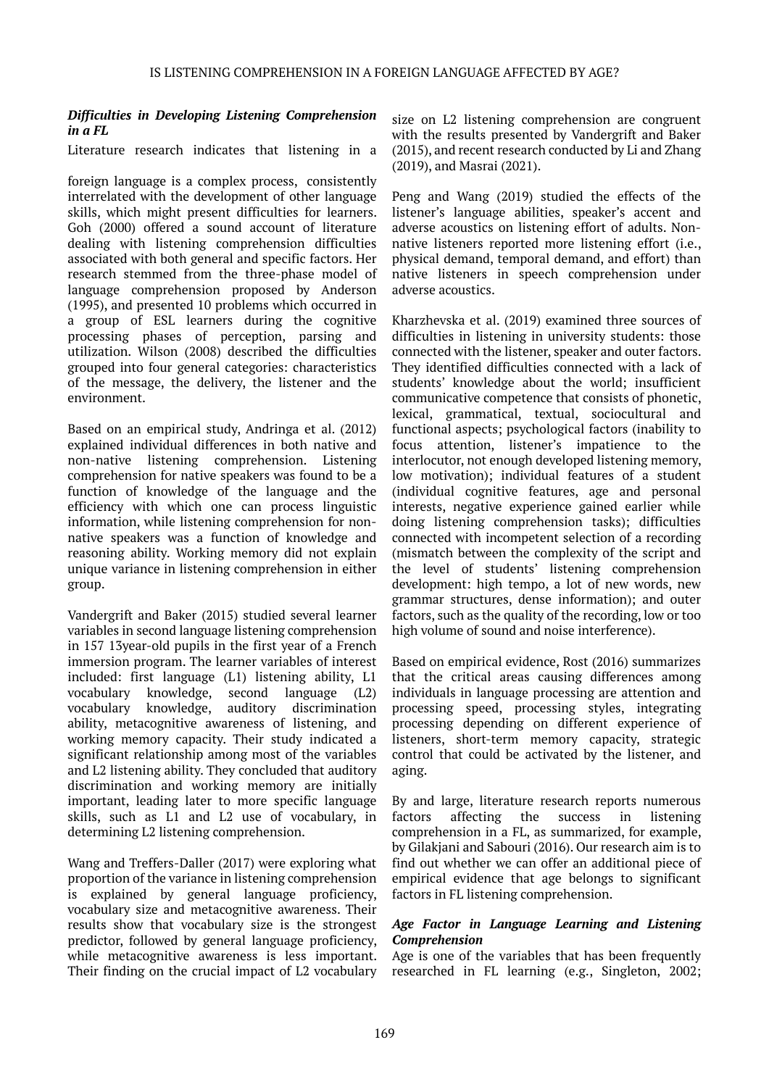## *Difficulties in Developing Listening Comprehension in a FL*

Literature research indicates that listening in a

foreign language is a complex process, consistently interrelated with the development of other language skills, which might present difficulties for learners. Goh (2000) offered a sound account of literature dealing with listening comprehension difficulties associated with both general and specific factors. Her research stemmed from the three-phase model of language comprehension proposed by Anderson (1995), and presented 10 problems which occurred in a group of ESL learners during the cognitive processing phases of perception, parsing and utilization. Wilson (2008) described the difficulties grouped into four general categories: characteristics of the message, the delivery, the listener and the environment.

Based on an empirical study, Andringa et al. (2012) explained individual differences in both native and non-native listening comprehension. Listening comprehension for native speakers was found to be a function of knowledge of the language and the efficiency with which one can process linguistic information, while listening comprehension for nonnative speakers was a function of knowledge and reasoning ability. Working memory did not explain unique variance in listening comprehension in either group.

Vandergrift and Baker (2015) studied several learner variables in second language listening comprehension in 157 13year-old pupils in the first year of a French immersion program. The learner variables of interest included: first language (L1) listening ability, L1 vocabulary knowledge, second language (L2) vocabulary knowledge, auditory discrimination ability, metacognitive awareness of listening, and working memory capacity. Their study indicated a significant relationship among most of the variables and L2 listening ability. They concluded that auditory discrimination and working memory are initially important, leading later to more specific language skills, such as L1 and L2 use of vocabulary, in determining L2 listening comprehension.

Wang and Treffers-Daller (2017) were exploring what proportion of the variance in listening comprehension is explained by general language proficiency, vocabulary size and metacognitive awareness. Their results show that vocabulary size is the strongest predictor, followed by general language proficiency, while metacognitive awareness is less important. Their finding on the crucial impact of L2 vocabulary

size on L2 listening comprehension are congruent with the results presented by Vandergrift and Baker (2015), and recent research conducted by Li and Zhang (2019), and Masrai (2021).

Peng and Wang (2019) studied the effects of the listener's language abilities, speaker's accent and adverse acoustics on listening effort of adults. Nonnative listeners reported more listening effort (i.e., physical demand, temporal demand, and effort) than native listeners in speech comprehension under adverse acoustics.

Kharzhevska et al. (2019) examined three sources of difficulties in listening in university students: those connected with the listener, speaker and outer factors. They identified difficulties connected with a lack of students' knowledge about the world; insufficient communicative competence that consists of phonetic, lexical, grammatical, textual, sociocultural and functional aspects; psychological factors (inability to focus attention, listener's impatience to the interlocutor, not enough developed listening memory, low motivation); individual features of a student (individual cognitive features, age and personal interests, negative experience gained earlier while doing listening comprehension tasks); difficulties connected with incompetent selection of a recording (mismatch between the complexity of the script and the level of students' listening comprehension development: high tempo, a lot of new words, new grammar structures, dense information); and outer factors, such as the quality of the recording, low or too high volume of sound and noise interference).

Based on empirical evidence, Rost (2016) summarizes that the critical areas causing differences among individuals in language processing are attention and processing speed, processing styles, integrating processing depending on different experience of listeners, short-term memory capacity, strategic control that could be activated by the listener, and aging.

By and large, literature research reports numerous factors affecting the success in listening comprehension in a FL, as summarized, for example, by Gilakjani and Sabouri (2016). Our research aim is to find out whether we can offer an additional piece of empirical evidence that age belongs to significant factors in FL listening comprehension.

## *Age Factor in Language Learning and Listening Comprehension*

Age is one of the variables that has been frequently researched in FL learning (e.g., Singleton, 2002;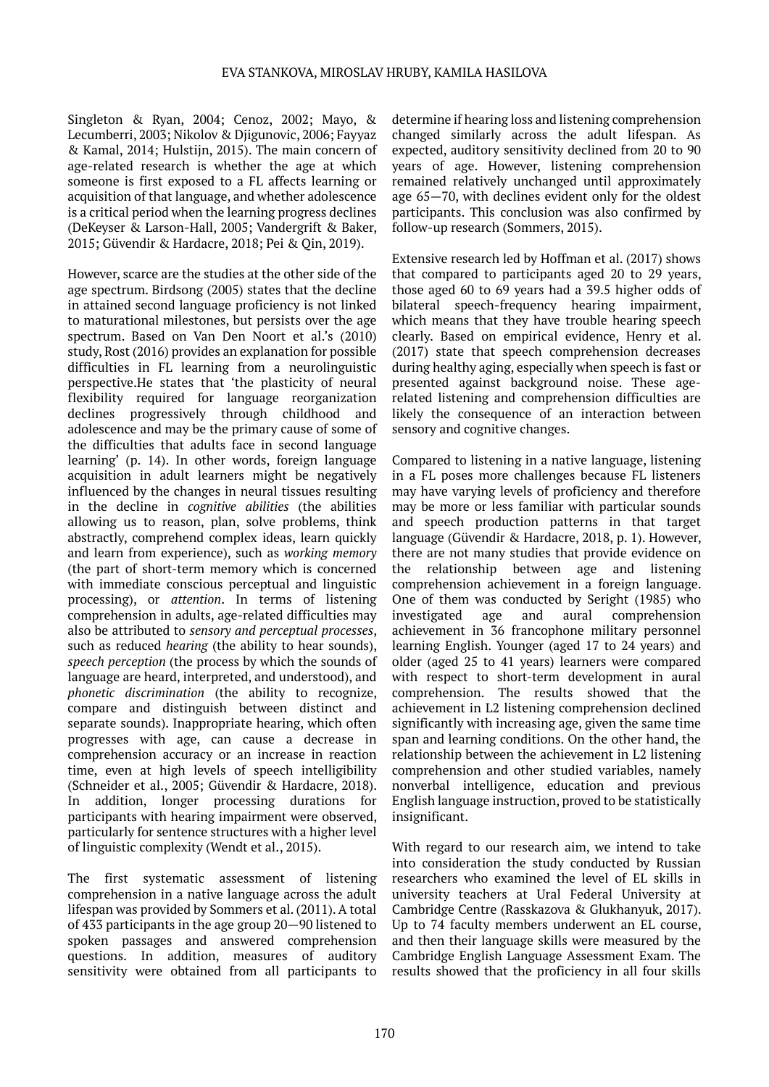Singleton & Ryan, 2004; Cenoz, 2002; Mayo, & Lecumberri, 2003; Nikolov & Djigunovic, 2006; Fayyaz & Kamal, 2014; Hulstijn, 2015). The main concern of age-related research is whether the age at which someone is first exposed to a FL affects learning or acquisition of that language, and whether adolescence is a critical period when the learning progress declines (DeKeyser & Larson-Hall, 2005; Vandergrift & Baker, 2015; Güvendir & Hardacre, 2018; Pei & Qin, 2019).

However, scarce are the studies at the other side of the age spectrum. Birdsong (2005) states that the decline in attained second language proficiency is not linked to maturational milestones, but persists over the age spectrum. Based on Van Den Noort et al.'s (2010) study, Rost (2016) provides an explanation for possible difficulties in FL learning from a neurolinguistic perspective.He states that 'the plasticity of neural flexibility required for language reorganization declines progressively through childhood and adolescence and may be the primary cause of some of the difficulties that adults face in second language learning' (p. 14). In other words, foreign language acquisition in adult learners might be negatively influenced by the changes in neural tissues resulting in the decline in *cognitive abilities* (the abilities allowing us to reason, plan, solve problems, think abstractly, comprehend complex ideas, learn quickly and learn from experience), such as *working memory* (the part of short-term memory which is concerned with immediate conscious perceptual and linguistic processing), or *attention*. In terms of listening comprehension in adults, age-related difficulties may also be attributed to *sensory and perceptual processes*, such as reduced *hearing* (the ability to hear sounds), *speech perception* (the process by which the sounds of language are heard, interpreted, and understood), and *phonetic discrimination* (the ability to recognize, compare and distinguish between distinct and separate sounds). Inappropriate hearing, which often progresses with age, can cause a decrease in comprehension accuracy or an increase in reaction time, even at high levels of speech intelligibility (Schneider et al., 2005; Güvendir & Hardacre, 2018). In addition, longer processing durations for participants with hearing impairment were observed, particularly for sentence structures with a higher level of linguistic complexity (Wendt et al., 2015).

The first systematic assessment of listening comprehension in a native language across the adult lifespan was provided by Sommers et al. (2011). A total of 433 participants in the age group 20—90 listened to spoken passages and answered comprehension questions. In addition, measures of auditory sensitivity were obtained from all participants to

determine if hearing loss and listening comprehension changed similarly across the adult lifespan. As expected, auditory sensitivity declined from 20 to 90 years of age. However, listening comprehension remained relatively unchanged until approximately age 65—70, with declines evident only for the oldest participants. This conclusion was also confirmed by follow-up research (Sommers, 2015).

Extensive research led by Hoffman et al. (2017) shows that compared to participants aged 20 to 29 years, those aged 60 to 69 years had a 39.5 higher odds of bilateral speech-frequency hearing impairment, which means that they have trouble hearing speech clearly. Based on empirical evidence, Henry et al. (2017) state that speech comprehension decreases during healthy aging, especially when speech is fast or presented against background noise. These agerelated listening and comprehension difficulties are likely the consequence of an interaction between sensory and cognitive changes.

Compared to listening in a native language, listening in a FL poses more challenges because FL listeners may have varying levels of proficiency and therefore may be more or less familiar with particular sounds and speech production patterns in that target language (Güvendir & Hardacre, 2018, p. 1). However, there are not many studies that provide evidence on the relationship between age and listening comprehension achievement in a foreign language. One of them was conducted by Seright (1985) who investigated age and aural comprehension achievement in 36 francophone military personnel learning English. Younger (aged 17 to 24 years) and older (aged 25 to 41 years) learners were compared with respect to short-term development in aural comprehension. The results showed that the achievement in L2 listening comprehension declined significantly with increasing age, given the same time span and learning conditions. On the other hand, the relationship between the achievement in L2 listening comprehension and other studied variables, namely nonverbal intelligence, education and previous English language instruction, proved to be statistically insignificant.

With regard to our research aim, we intend to take into consideration the study conducted by Russian researchers who examined the level of EL skills in university teachers at Ural Federal University at Cambridge Centre (Rasskazova & Glukhanyuk, 2017). Up to 74 faculty members underwent an EL course, and then their language skills were measured by the Cambridge English Language Assessment Exam. The results showed that the proficiency in all four skills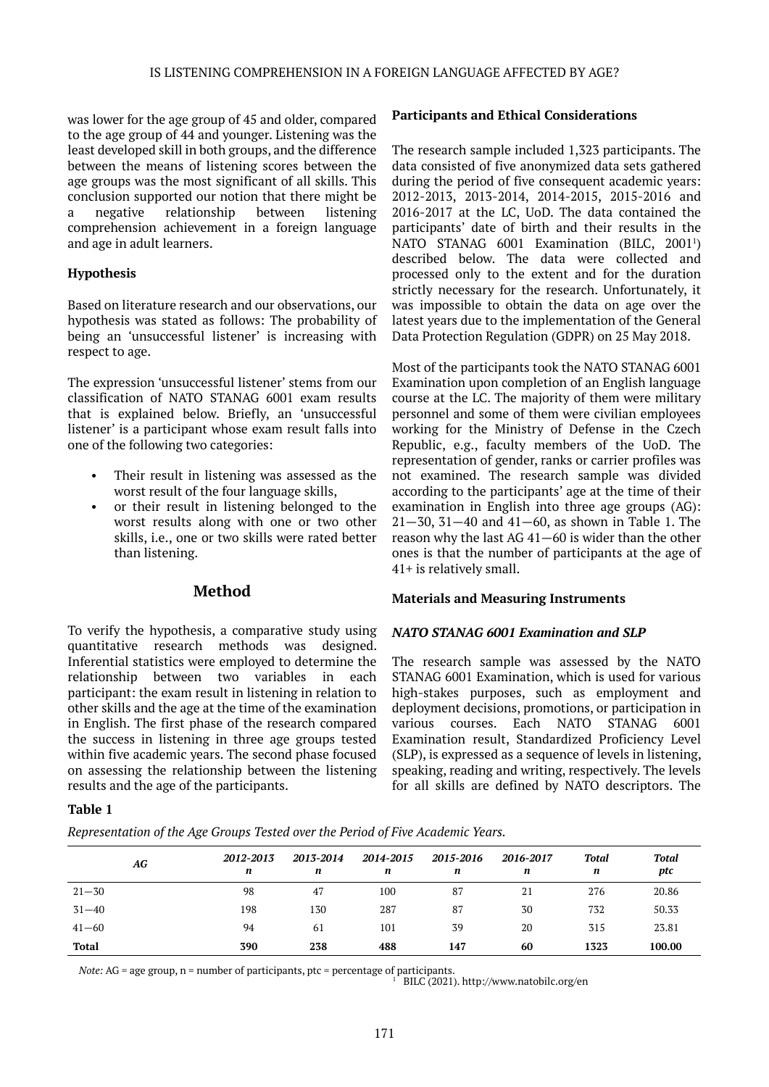was lower for the age group of 45 and older, compared to the age group of 44 and younger. Listening was the least developed skill in both groups, and the difference between the means of listening scores between the age groups was the most significant of all skills. This conclusion supported our notion that there might be a negative relationship between listening comprehension achievement in a foreign language and age in adult learners.

## **Hypothesis**

Based on literature research and our observations, our hypothesis was stated as follows: The probability of being an 'unsuccessful listener' is increasing with respect to age.

The expression 'unsuccessful listener' stems from our classification of NATO STANAG 6001 exam results that is explained below. Briefly, an 'unsuccessful listener' is a participant whose exam result falls into one of the following two categories:

- Their result in listening was assessed as the worst result of the four language skills,
- or their result in listening belonged to the worst results along with one or two other skills, i.e., one or two skills were rated better than listening.

## **Method**

To verify the hypothesis, a comparative study using quantitative research methods was designed. Inferential statistics were employed to determine the relationship between two variables in each participant: the exam result in listening in relation to other skills and the age at the time of the examination in English. The first phase of the research compared the success in listening in three age groups tested within five academic years. The second phase focused on assessing the relationship between the listening results and the age of the participants.

## **Participants and Ethical Considerations**

The research sample included 1,323 participants. The data consisted of five anonymized data sets gathered during the period of five consequent academic years: 2012-2013, 2013-2014, 2014-2015, 2015-2016 and 2016-2017 at the LC, UoD. The data contained the participants' date of birth and their results in the NATO STANAG 6001 Examination (BILC, 2001<sup>1</sup>) described below. The data were collected and processed only to the extent and for the duration strictly necessary for the research. Unfortunately, it was impossible to obtain the data on age over the latest years due to the implementation of the General Data Protection Regulation (GDPR) on 25 May 2018.

Most of the participants took the NATO STANAG 6001 Examination upon completion of an English language course at the LC. The majority of them were military personnel and some of them were civilian employees working for the Ministry of Defense in the Czech Republic, e.g., faculty members of the UoD. The representation of gender, ranks or carrier profiles was not examined. The research sample was divided according to the participants' age at the time of their examination in English into three age groups (AG): 21—30, 31—40 and 41—60, as shown in Table 1. The reason why the last AG 41—60 is wider than the other ones is that the number of participants at the age of 41+ is relatively small.

### **Materials and Measuring Instruments**

### *NATO STANAG 6001 Examination and SLP*

The research sample was assessed by the NATO STANAG 6001 Examination, which is used for various high*-*stakes purposes, such as employment and deployment decisions, promotions, or participation in various courses. Each NATO STANAG 6001 Examination result, Standardized Proficiency Level (SLP), is expressed as a sequence of levels in listening, speaking, reading and writing, respectively. The levels for all skills are defined by NATO descriptors. The

### **Table 1**

*Representation of the Age Groups Tested over the Period of Five Academic Years.*

| AG           | 2012-2013<br>n | 2013-2014<br>n | 2014-2015<br>n | 2015-2016<br>n | 2016-2017<br>n | Total<br>n | <b>Total</b><br>ptc |
|--------------|----------------|----------------|----------------|----------------|----------------|------------|---------------------|
| $21 - 30$    | 98             | 47             | 100            | 87             | 21             | 276        | 20.86               |
| $31 - 40$    | 198            | 130            | 287            | 87             | 30             | 732        | 50.33               |
| $41 - 60$    | 94             | 61             | 101            | 39             | 20             | 315        | 23.81               |
| <b>Total</b> | 390            | 238            | 488            | 147            | 60             | 1323       | 100.00              |

*Note:* AG = age group, n = number of participants, ptc = percentage of participants.

<sup>1</sup> BILC (2021). http://www.natobilc.org/en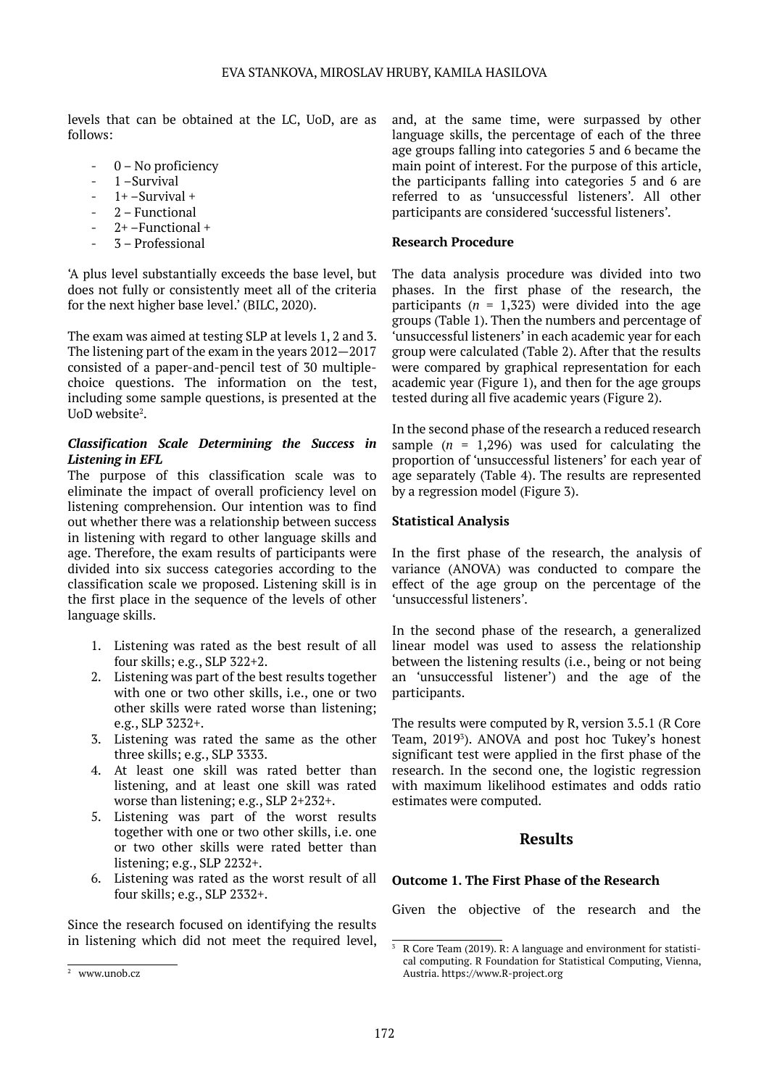levels that can be obtained at the LC, UoD, are as follows:

- 0 No proficiency
- 1-Survival
- $1+ -$ Survival +
- 2 Functional
- $2+$  Functional +
- 3 Professional

'A plus level substantially exceeds the base level, but does not fully or consistently meet all of the criteria for the next higher base level.' (BILC, 2020).

The exam was aimed at testing SLP at levels 1, 2 and 3. The listening part of the exam in the years 2012—2017 consisted of a paper-and-pencil test of 30 multiplechoice questions. The information on the test, including some sample questions, is presented at the UoD website<sup>2</sup>.

## *Classification Scale Determining the Success in Listening in EFL*

The purpose of this classification scale was to eliminate the impact of overall proficiency level on listening comprehension. Our intention was to find out whether there was a relationship between success in listening with regard to other language skills and age. Therefore, the exam results of participants were divided into six success categories according to the classification scale we proposed. Listening skill is in the first place in the sequence of the levels of other language skills.

- 1. Listening was rated as the best result of all four skills; e.g., SLP 322+2.
- 2. Listening was part of the best results together with one or two other skills, i.e., one or two other skills were rated worse than listening; e.g., SLP 3232+.
- 3. Listening was rated the same as the other three skills; e.g., SLP 3333.
- 4. At least one skill was rated better than listening, and at least one skill was rated worse than listening; e.g., SLP 2+232+.
- 5. Listening was part of the worst results together with one or two other skills, i.e. one or two other skills were rated better than listening; e.g., SLP 2232+.
- 6. Listening was rated as the worst result of all four skills; e.g., SLP 2332+.

Since the research focused on identifying the results in listening which did not meet the required level, and, at the same time, were surpassed by other language skills, the percentage of each of the three age groups falling into categories 5 and 6 became the main point of interest. For the purpose of this article, the participants falling into categories 5 and 6 are referred to as 'unsuccessful listeners'. All other participants are considered 'successful listeners'.

## **Research Procedure**

The data analysis procedure was divided into two phases. In the first phase of the research, the participants ( $n = 1,323$ ) were divided into the age groups (Table 1). Then the numbers and percentage of 'unsuccessful listeners' in each academic year for each group were calculated (Table 2). After that the results were compared by graphical representation for each academic year (Figure 1), and then for the age groups tested during all five academic years (Figure 2).

In the second phase of the research a reduced research sample  $(n = 1,296)$  was used for calculating the proportion of 'unsuccessful listeners' for each year of age separately (Table 4). The results are represented by a regression model (Figure 3).

## **Statistical Analysis**

In the first phase of the research, the analysis of variance (ANOVA) was conducted to compare the effect of the age group on the percentage of the 'unsuccessful listeners'.

In the second phase of the research, a generalized linear model was used to assess the relationship between the listening results (i.e., being or not being an 'unsuccessful listener') and the age of the participants.

The results were computed by R, version 3.5.1 (R Core Team, 2019<sup>3</sup>). ANOVA and post hoc Tukey's honest significant test were applied in the first phase of the research. In the second one, the logistic regression with maximum likelihood estimates and odds ratio estimates were computed.

## **Results**

## **Outcome 1. The First Phase of the Research**

Given the objective of the research and the

<sup>3</sup> <sup>2</sup> R Core Team (2019). R: A language and environment for statistical computing. R Foundation for Statistical Computing, Vienna, Austria. https://www.R-project.org

<sup>2</sup> <sup>1</sup> www.unob.cz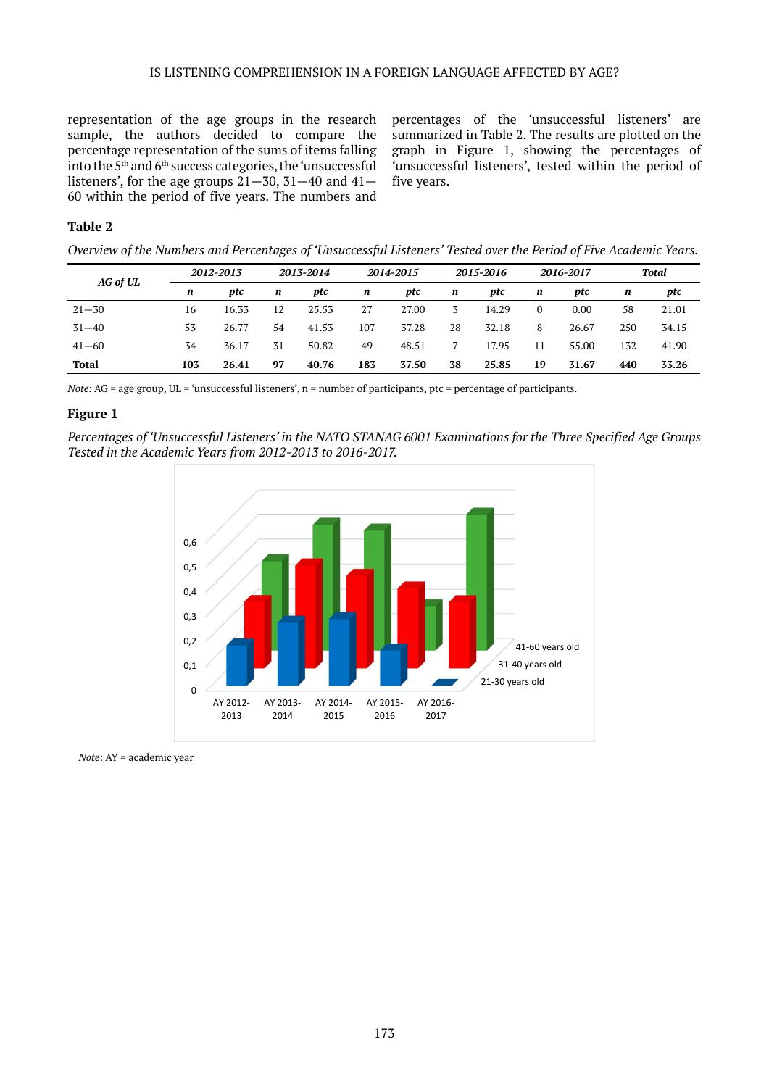representation of the age groups in the research sample, the authors decided to compare the percentage representation of the sums of items falling into the 5th and 6th success categories, the 'unsuccessful listeners', for the age groups  $21-30$ ,  $31-40$  and  $41-$ 60 within the period of five years. The numbers and

percentages of the 'unsuccessful listeners' are summarized in Table 2. The results are plotted on the graph in Figure 1, showing the percentages of 'unsuccessful listeners', tested within the period of five years.

## **Table 2**

*Overview of the Numbers and Percentages of 'Unsuccessful Listeners' Tested over the Period of Five Academic Years.*

| AG of UL     |     | 2012-2013 |    | 2013-2014 |     | 2014-2015 |    | 2015-2016 |          | 2016-2017 |     | Total |  |
|--------------|-----|-----------|----|-----------|-----|-----------|----|-----------|----------|-----------|-----|-------|--|
|              | n   | ptc       | n  | ptc       | n   | ptc       | n  | ptc       | n        | ptc       | n   | ptc   |  |
| $21 - 30$    | 16  | 16.33     | 12 | 25.53     | 27  | 27.00     | 3  | 14.29     | $\Omega$ | 0.00      | 58  | 21.01 |  |
| $31 - 40$    | 53  | 26.77     | 54 | 41.53     | 107 | 37.28     | 28 | 32.18     | 8        | 26.67     | 250 | 34.15 |  |
| $41 - 60$    | 34  | 36.17     | 31 | 50.82     | 49  | 48.51     |    | 17.95     | 11       | 55.00     | 132 | 41.90 |  |
| <b>Total</b> | 103 | 26.41     | 97 | 40.76     | 183 | 37.50     | 38 | 25.85     | 19       | 31.67     | 440 | 33.26 |  |

*Note:* AG = age group, UL = 'unsuccessful listeners', n = number of participants, ptc = percentage of participants.

## **Figure 1**

*Percentages of 'Unsuccessful Listeners' in the NATO STANAG 6001 Examinations for the Three Specified Age Groups Tested in the Academic Years from 2012-2013 to 2016-2017.*



*Note*: AY = academic year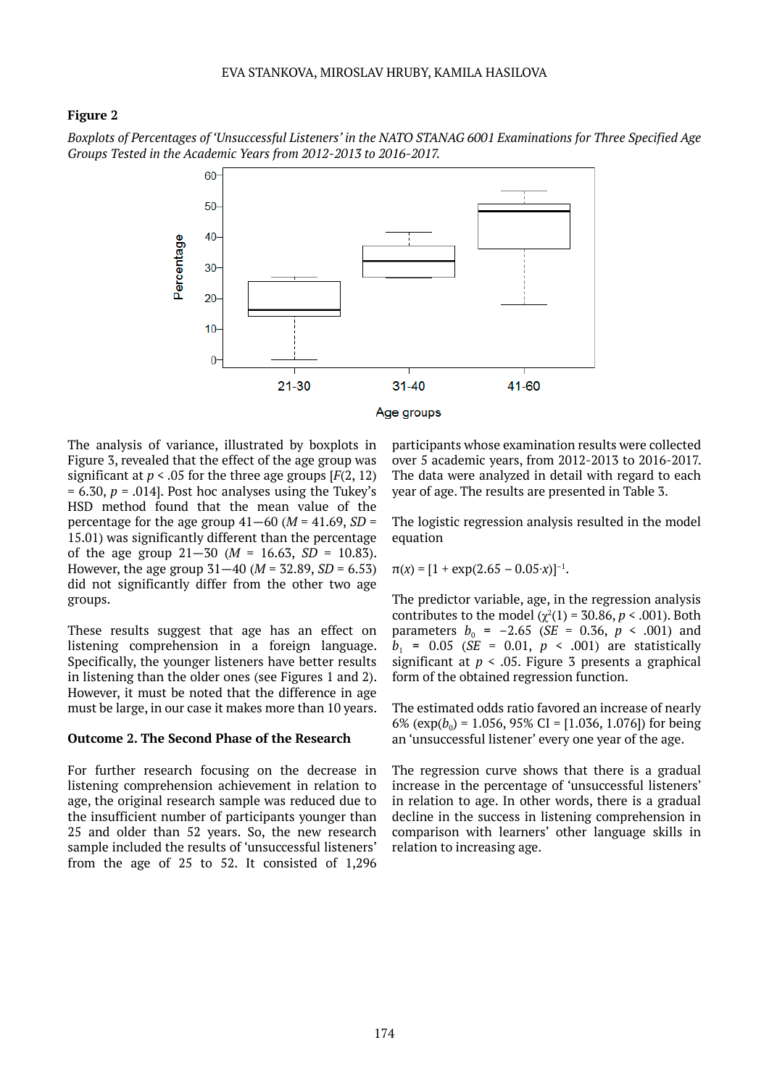## **Figure 2**

*Boxplots of Percentages of 'Unsuccessful Listeners' in the NATO STANAG 6001 Examinations for Three Specified Age Groups Tested in the Academic Years from 2012-2013 to 2016-2017.*



The analysis of variance, illustrated by boxplots in Figure 3, revealed that the effect of the age group was significant at  $p < .05$  for the three age groups  $[F(2, 12)]$  $= 6.30, p = .014$ . Post hoc analyses using the Tukey's HSD method found that the mean value of the percentage for the age group  $41-60$  ( $M = 41.69$ ,  $SD =$ 15.01) was significantly different than the percentage of the age group  $21-30$  ( $M = 16.63$ ,  $SD = 10.83$ ). However, the age group  $31-40$  ( $M = 32.89$ ,  $SD = 6.53$ ) did not significantly differ from the other two age groups.

These results suggest that age has an effect on listening comprehension in a foreign language. Specifically, the younger listeners have better results in listening than the older ones (see Figures 1 and 2). However, it must be noted that the difference in age must be large, in our case it makes more than 10 years.

#### **Outcome 2. The Second Phase of the Research**

For further research focusing on the decrease in listening comprehension achievement in relation to age, the original research sample was reduced due to the insufficient number of participants younger than 25 and older than 52 years. So, the new research sample included the results of 'unsuccessful listeners' from the age of 25 to 52. It consisted of 1,296

participants whose examination results were collected over 5 academic years, from 2012-2013 to 2016-2017. The data were analyzed in detail with regard to each year of age. The results are presented in Table 3.

The logistic regression analysis resulted in the model equation

$$
\pi(x) = [1 + \exp(2.65 - 0.05 \cdot x)]^{-1}.
$$

The predictor variable, age, in the regression analysis contributes to the model  $(\chi^2(1) = 30.86, p < .001)$ . Both parameters  $b_0 = -2.65$  (*SE* = 0.36,  $p \le .001$ ) and  $b_1$  = 0.05 (*SE* = 0.01,  $p \le 0.001$ ) are statistically significant at  $p \le 0.05$ . Figure 3 presents a graphical form of the obtained regression function.

The estimated odds ratio favored an increase of nearly 6% ( $\exp(b_0)$  = 1.056, 95% CI = [1.036, 1.076]) for being an 'unsuccessful listener' every one year of the age.

The regression curve shows that there is a gradual increase in the percentage of 'unsuccessful listeners' in relation to age. In other words, there is a gradual decline in the success in listening comprehension in comparison with learners' other language skills in relation to increasing age.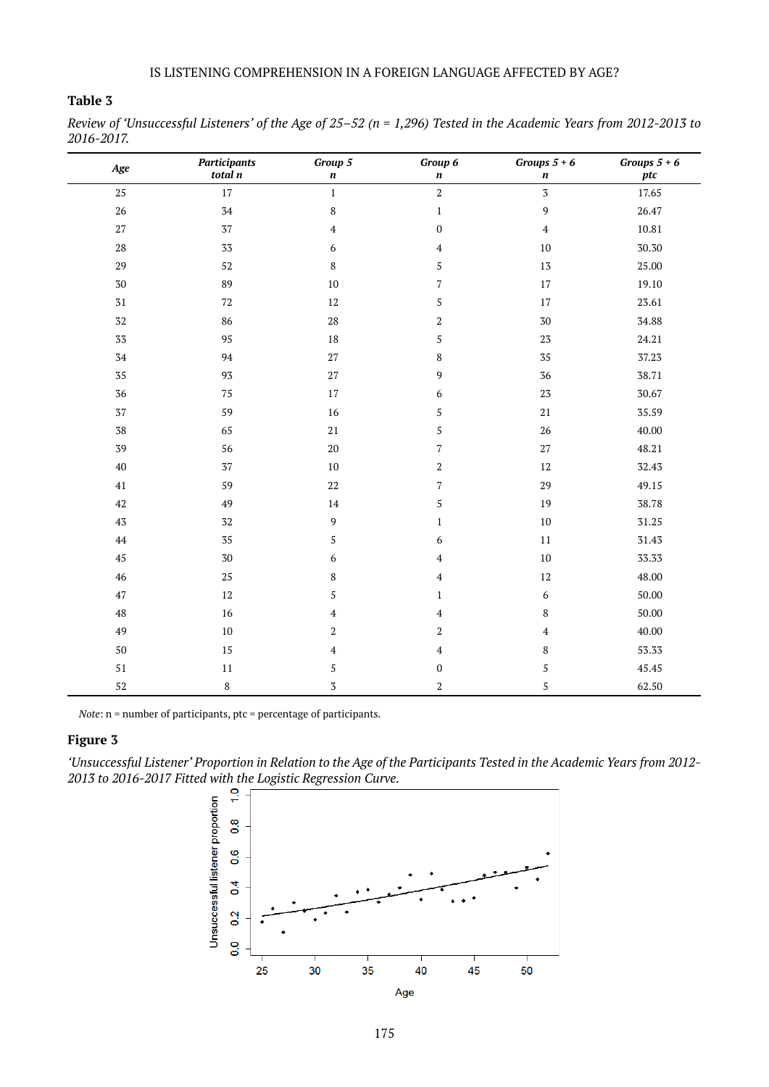## **Table 3**

*Review of 'Unsuccessful Listeners' of the Age of 25–52 (n = 1,296) Tested in the Academic Years from 2012-2013 to 2016-2017.*

| Age               | <b>Participants</b><br>total n | Group 5<br>$\boldsymbol{n}$ | Group 6<br>$\pmb{n}$    | Groups $5 + 6$<br>$\pmb{n}$ | Groups $5+6$<br>ptc |
|-------------------|--------------------------------|-----------------------------|-------------------------|-----------------------------|---------------------|
| 25                | 17                             | $\,1\,$                     | $\,2$                   | $\overline{3}$              | 17.65               |
| $26\,$            | $34\,$                         | $\,$ 8 $\,$                 | $\mathbf 1$             | 9                           | 26.47               |
| 27                | 37                             | $\overline{\mathbf{4}}$     | $\boldsymbol{0}$        | $\overline{\mathbf{4}}$     | 10.81               |
| $\rm 28$          | $3\sqrt{3}$                    | 6                           | $\overline{4}$          | 10                          | 30.30               |
| $\ensuremath{29}$ | 52                             | 8                           | 5                       | 13                          | 25.00               |
| $30\,$            | 89                             | $10\,$                      | $\overline{7}$          | 17                          | 19.10               |
| $\sqrt{31}$       | $72\,$                         | 12                          | 5                       | 17                          | 23.61               |
| $32\,$            | 86                             | $\rm 28$                    | $\,2$                   | 30                          | 34.88               |
| $3\sqrt{3}$       | 95                             | $18\,$                      | 5                       | 23                          | 24.21               |
| $34\,$            | $94\,$                         | 27                          | $\,$ 8 $\,$             | 35                          | 37.23               |
| 35                | 93                             | $27\,$                      | $\boldsymbol{9}$        | 36                          | 38.71               |
| $36\,$            | $75\,$                         | $17\,$                      | $\boldsymbol{6}$        | $2\sqrt{3}$                 | 30.67               |
| 37                | 59                             | $16\,$                      | $\sqrt{5}$              | $21\,$                      | 35.59               |
| ${\bf 38}$        | 65                             | $21\,$                      | 5                       | $26\,$                      | 40.00               |
| 39                | 56                             | $20\,$                      | 7                       | $27\,$                      | 48.21               |
| $40\,$            | 37                             | $10\,$                      | $\,2$                   | $12\,$                      | 32.43               |
| $41\,$            | 59                             | $22\,$                      | $\sqrt{ }$              | 29                          | 49.15               |
| $42\,$            | 49                             | $14\,$                      | $\mathsf S$             | 19                          | 38.78               |
| $4\overline{3}$   | $32\,$                         | $\overline{9}$              | $\,1\,$                 | $10\,$                      | 31.25               |
| $44\,$            | $35\,$                         | 5                           | 6                       | $11\,$                      | 31.43               |
| 45                | $30\,$                         | 6                           | $\overline{4}$          | $10\,$                      | 33.33               |
| $\sqrt{46}$       | $25\,$                         | 8                           | $\overline{4}$          | $12\,$                      | 48.00               |
| $47\,$            | $12\,$                         | 5                           | $\mathbf{1}$            | $\boldsymbol{6}$            | 50.00               |
| $48\,$            | 16                             | $\pmb{4}$                   | $\overline{\mathbf{4}}$ | $\,$ 8 $\,$                 | 50.00               |
| 49                | $10\,$                         | $\boldsymbol{2}$            | $\boldsymbol{2}$        | $\overline{\mathbf{4}}$     | 40.00               |
| $50\,$            | 15                             | $\overline{4}$              | $\overline{4}$          | $\,$ 8 $\,$                 | 53.33               |
| 51                | $11\,$                         | 5                           | $\boldsymbol{0}$        | $\sqrt{5}$                  | 45.45               |
| $52\,$            | $\,$ 8 $\,$                    | $\overline{3}$              | $\,2$                   | $\mathsf S$                 | 62.50               |

*Note*: n = number of participants, ptc = percentage of participants.

## **Figure 3**

*'Unsuccessful Listener' Proportion in Relation to the Age of the Participants Tested in the Academic Years from 2012- 2013 to 2016-2017 Fitted with the Logistic Regression Curve.*

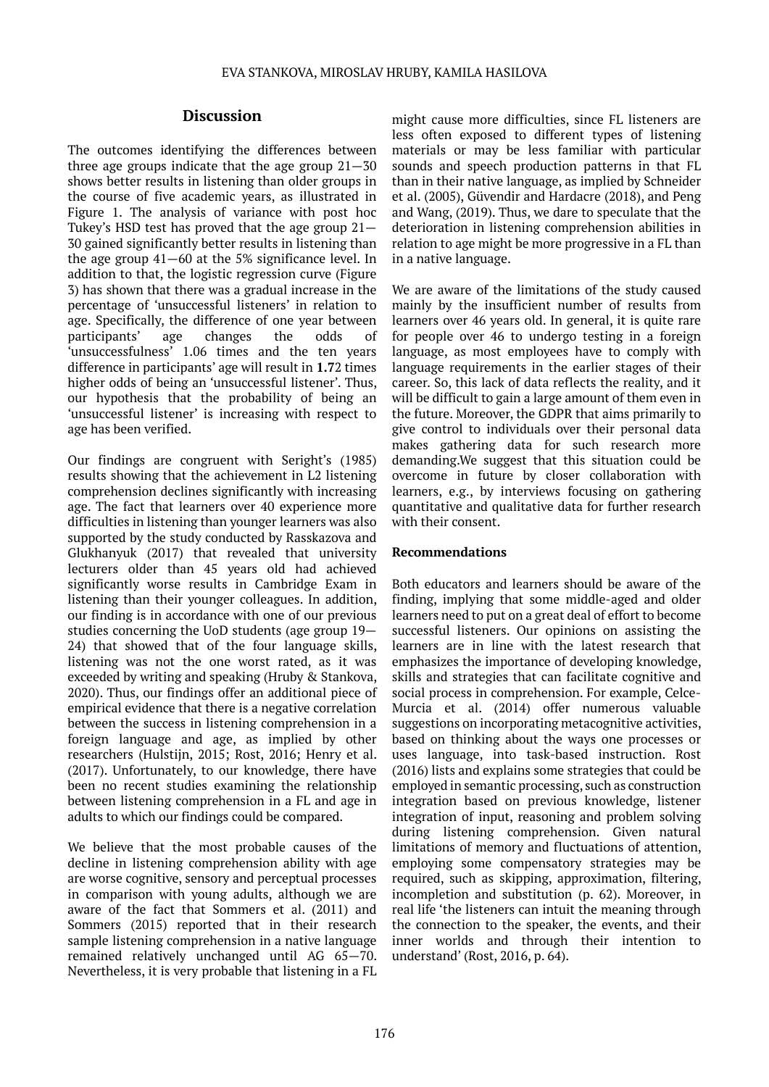## **Discussion**

The outcomes identifying the differences between three age groups indicate that the age group 21—30 shows better results in listening than older groups in the course of five academic years, as illustrated in Figure 1. The analysis of variance with post hoc Tukey's HSD test has proved that the age group 21— 30 gained significantly better results in listening than the age group 41—60 at the 5% significance level. In addition to that, the logistic regression curve (Figure 3) has shown that there was a gradual increase in the percentage of 'unsuccessful listeners' in relation to age. Specifically, the difference of one year between participants' age changes the odds of 'unsuccessfulness' 1.06 times and the ten years difference in participants' age will result in **1.7**2 times higher odds of being an 'unsuccessful listener'. Thus, our hypothesis that the probability of being an 'unsuccessful listener' is increasing with respect to age has been verified.

Our findings are congruent with Seright's (1985) results showing that the achievement in L2 listening comprehension declines significantly with increasing age. The fact that learners over 40 experience more difficulties in listening than younger learners was also supported by the study conducted by Rasskazova and Glukhanyuk (2017) that revealed that university lecturers older than 45 years old had achieved significantly worse results in Cambridge Exam in listening than their younger colleagues. In addition, our finding is in accordance with one of our previous studies concerning the UoD students (age group 19— 24) that showed that of the four language skills, listening was not the one worst rated, as it was exceeded by writing and speaking (Hruby & Stankova, 2020). Thus, our findings offer an additional piece of empirical evidence that there is a negative correlation between the success in listening comprehension in a foreign language and age, as implied by other researchers (Hulstijn, 2015; Rost, 2016; Henry et al. (2017). Unfortunately, to our knowledge, there have been no recent studies examining the relationship between listening comprehension in a FL and age in adults to which our findings could be compared.

We believe that the most probable causes of the decline in listening comprehension ability with age are worse cognitive, sensory and perceptual processes in comparison with young adults, although we are aware of the fact that Sommers et al. (2011) and Sommers (2015) reported that in their research sample listening comprehension in a native language remained relatively unchanged until AG 65—70. Nevertheless, it is very probable that listening in a FL

might cause more difficulties, since FL listeners are less often exposed to different types of listening materials or may be less familiar with particular sounds and speech production patterns in that FL than in their native language, as implied by Schneider et al. (2005), Güvendir and Hardacre (2018), and Peng and Wang, (2019). Thus, we dare to speculate that the deterioration in listening comprehension abilities in relation to age might be more progressive in a FL than in a native language.

We are aware of the limitations of the study caused mainly by the insufficient number of results from learners over 46 years old. In general, it is quite rare for people over 46 to undergo testing in a foreign language, as most employees have to comply with language requirements in the earlier stages of their career. So, this lack of data reflects the reality, and it will be difficult to gain a large amount of them even in the future. Moreover, the GDPR that aims primarily to give control to individuals over their personal data makes gathering data for such research more demanding.We suggest that this situation could be overcome in future by closer collaboration with learners, e.g., by interviews focusing on gathering quantitative and qualitative data for further research with their consent.

## **Recommendations**

Both educators and learners should be aware of the finding, implying that some middle-aged and older learners need to put on a great deal of effort to become successful listeners. Our opinions on assisting the learners are in line with the latest research that emphasizes the importance of developing knowledge, skills and strategies that can facilitate cognitive and social process in comprehension. For example, Celce-Murcia et al. (2014) offer numerous valuable suggestions on incorporating metacognitive activities, based on thinking about the ways one processes or uses language, into task-based instruction. Rost (2016) lists and explains some strategies that could be employed in semantic processing, such as construction integration based on previous knowledge, listener integration of input, reasoning and problem solving during listening comprehension. Given natural limitations of memory and fluctuations of attention, employing some compensatory strategies may be required, such as skipping, approximation, filtering, incompletion and substitution (p. 62). Moreover, in real life 'the listeners can intuit the meaning through the connection to the speaker, the events, and their inner worlds and through their intention to understand' (Rost, 2016, p. 64).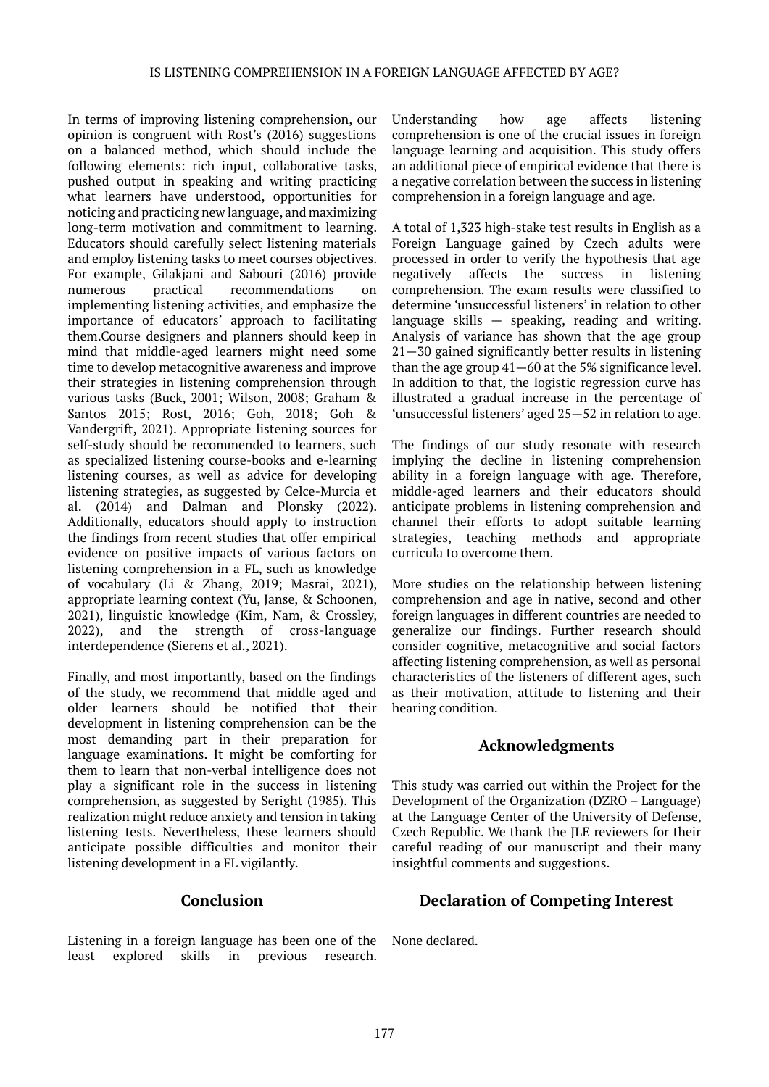In terms of improving listening comprehension, our opinion is congruent with Rost's (2016) suggestions on a balanced method, which should include the following elements: rich input, collaborative tasks, pushed output in speaking and writing practicing what learners have understood, opportunities for noticing and practicing new language, and maximizing long-term motivation and commitment to learning. Educators should carefully select listening materials and employ listening tasks to meet courses objectives. For example, Gilakjani and Sabouri (2016) provide numerous practical recommendations on implementing listening activities, and emphasize the importance of educators' approach to facilitating them.Course designers and planners should keep in mind that middle-aged learners might need some time to develop metacognitive awareness and improve their strategies in listening comprehension through various tasks (Buck, 2001; Wilson, 2008; Graham & Santos 2015; Rost, 2016; Goh, 2018; Goh & Vandergrift, 2021). Appropriate listening sources for self-study should be recommended to learners, such as specialized listening course-books and e-learning listening courses, as well as advice for developing listening strategies, as suggested by Celce-Murcia et al. (2014) and Dalman and Plonsky (2022). Additionally, educators should apply to instruction the findings from recent studies that offer empirical evidence on positive impacts of various factors on listening comprehension in a FL, such as knowledge of vocabulary (Li & Zhang, 2019; Masrai, 2021), appropriate learning context (Yu, Janse, & Schoonen, 2021), linguistic knowledge (Kim, Nam, & Crossley, 2022), and the strength of cross-language interdependence (Sierens et al., 2021).

Finally, and most importantly, based on the findings of the study, we recommend that middle aged and older learners should be notified that their development in listening comprehension can be the most demanding part in their preparation for language examinations. It might be comforting for them to learn that non-verbal intelligence does not play a significant role in the success in listening comprehension, as suggested by Seright (1985). This realization might reduce anxiety and tension in taking listening tests. Nevertheless, these learners should anticipate possible difficulties and monitor their listening development in a FL vigilantly.

# **Conclusion**

Listening in a foreign language has been one of the least explored skills in previous research.

Understanding how age affects listening comprehension is one of the crucial issues in foreign language learning and acquisition. This study offers an additional piece of empirical evidence that there is a negative correlation between the success in listening comprehension in a foreign language and age.

A total of 1,323 high-stake test results in English as a Foreign Language gained by Czech adults were processed in order to verify the hypothesis that age negatively affects the success in listening comprehension. The exam results were classified to determine 'unsuccessful listeners' in relation to other language skills — speaking, reading and writing. Analysis of variance has shown that the age group 21—30 gained significantly better results in listening than the age group 41—60 at the 5% significance level. In addition to that, the logistic regression curve has illustrated a gradual increase in the percentage of 'unsuccessful listeners' aged 25—52 in relation to age.

The findings of our study resonate with research implying the decline in listening comprehension ability in a foreign language with age. Therefore, middle-aged learners and their educators should anticipate problems in listening comprehension and channel their efforts to adopt suitable learning strategies, teaching methods and appropriate curricula to overcome them.

More studies on the relationship between listening comprehension and age in native, second and other foreign languages in different countries are needed to generalize our findings. Further research should consider cognitive, metacognitive and social factors affecting listening comprehension, as well as personal characteristics of the listeners of different ages, such as their motivation, attitude to listening and their hearing condition.

# **Acknowledgments**

This study was carried out within the Project for the Development of the Organization (DZRO – Language) at the Language Center of the University of Defense, Czech Republic. We thank the JLE reviewers for their careful reading of our manuscript and their many insightful comments and suggestions.

# **Declaration of Competing Interest**

None declared.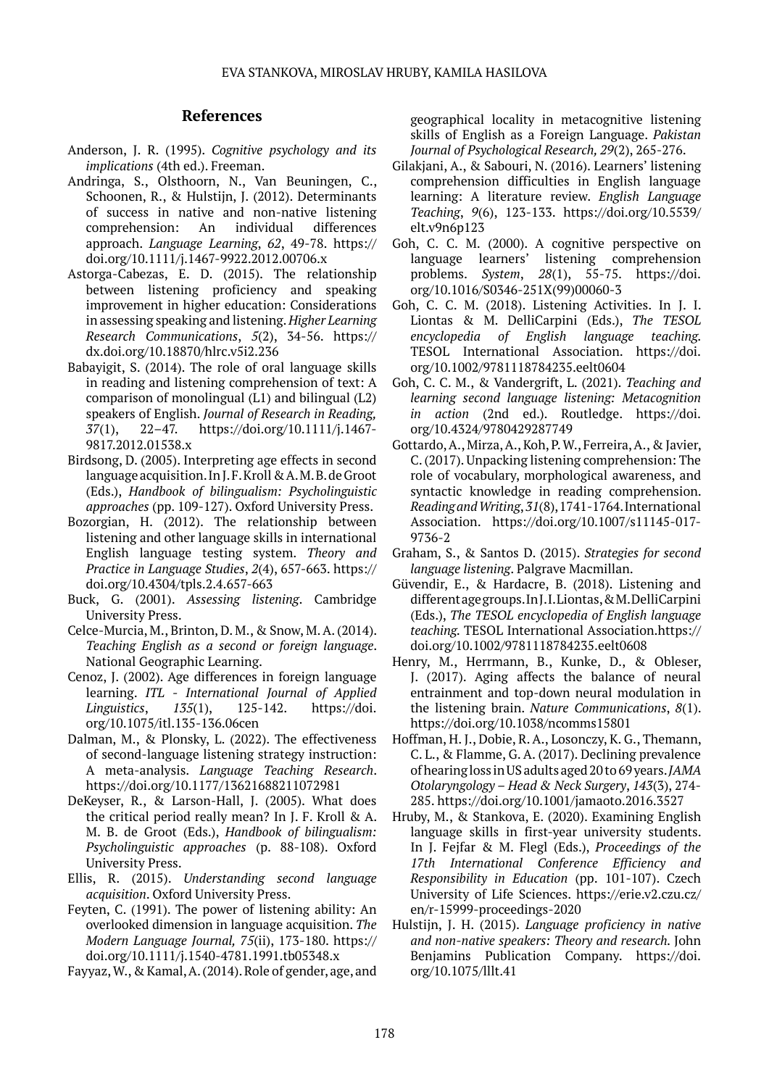### **References**

- Anderson, J. R. (1995). *Cognitive psychology and its implications* (4th ed.). Freeman.
- Andringa, S., Olsthoorn, N., Van Beuningen, C., Schoonen, R., & Hulstijn, J. (2012). Determinants of success in native and non-native listening comprehension: An individual differences approach. *Language Learning*, *62*, 49-78. https:// doi.org/10.1111/j.1467-9922.2012.00706.x
- Astorga-Cabezas, E. D. (2015). The relationship between listening proficiency and speaking improvement in higher education: Considerations in assessing speaking and listening. *Higher Learning Research Communications*, *5*(2), 34-56. https:// dx.doi.org/10.18870/hlrc.v5i2.236
- Babayigit, S. (2014). The role of oral language skills in reading and listening comprehension of text: A comparison of monolingual (L1) and bilingual (L2) speakers of English. *Journal of Research in Reading, 37*(1), 22–47. https://doi.org/10.1111/j.1467- 9817.2012.01538.x
- Birdsong, D. (2005). Interpreting age effects in second language acquisition. In J. F. Kroll & A. M. B. de Groot (Eds.), *Handbook of bilingualism: Psycholinguistic approaches* (pp. 109-127). Oxford University Press.
- Bozorgian, H. (2012). The relationship between listening and other language skills in international English language testing system. *Theory and Practice in Language Studies*, *2*(4), 657-663. https:// doi.org/10.4304/tpls.2.4.657-663
- Buck, G. (2001). *Assessing listening*. Cambridge University Press.
- Celce-Murcia, M., Brinton, D. M., & Snow, M. A. (2014). *Teaching English as a second or foreign language*. National Geographic Learning.
- Cenoz, J. (2002). Age differences in foreign language learning. *ITL - International Journal of Applied Linguistics*, *135*(1), 125-142. https://doi. org/10.1075/itl.135-136.06cen
- Dalman, M., & Plonsky, L. (2022). The effectiveness of second-language listening strategy instruction: A meta-analysis. *Language Teaching Research*. https://doi.org/10.1177/13621688211072981
- DeKeyser, R., & Larson-Hall, J. (2005). What does the critical period really mean? In J. F. Kroll & A. M. B. de Groot (Eds.), *Handbook of bilingualism: Psycholinguistic approaches* (p. 88-108). Oxford University Press.
- Ellis, R. (2015). *Understanding second language acquisition*. Oxford University Press.
- Feyten, C. (1991). The power of listening ability: An overlooked dimension in language acquisition. *The Modern Language Journal, 75*(ii), 173-180. https:// doi.org/10.1111/j.1540-4781.1991.tb05348.x

Fayyaz, W., & Kamal, A. (2014). Role of gender, age, and

geographical locality in metacognitive listening skills of English as a Foreign Language. *Pakistan Journal of Psychological Research, 29*(2), 265-276.

- Gilakjani, A., & Sabouri, N. (2016). Learners' listening comprehension difficulties in English language learning: A literature review. *English Language Teaching*, *9*(6), 123-133. https://doi.org/10.5539/ elt.v9n6p123
- Goh, C. C. M. (2000). A cognitive perspective on language learners' listening comprehension problems. *System*, *28*(1), 55-75. https://doi. org/10.1016/S0346-251X(99)00060-3
- Goh, C. C. M. (2018). Listening Activities. In J. I. Liontas & M. DelliCarpini (Eds.), *The TESOL encyclopedia of English language teaching.*  TESOL International Association. https://doi. org/10.1002/9781118784235.eelt0604
- Goh, C. C. M., & Vandergrift, L. (2021). *Teaching and learning second language listening: Metacognition in action* (2nd ed.). Routledge. https://doi. org/10.4324/9780429287749
- Gottardo, A., Mirza, A., Koh, P. W., Ferreira, A., & Javier, C. (2017). Unpacking listening comprehension: The role of vocabulary, morphological awareness, and syntactic knowledge in reading comprehension. *Reading and Writing*, *31*(8), 1741-1764. International Association. https://doi.org/10.1007/s11145-017- 9736-2
- Graham, S., & Santos D. (2015). *Strategies for second language listening*. Palgrave Macmillan.
- Güvendir, E., & Hardacre, B. (2018). Listening and different age groups. In J. I. Liontas, & M. DelliCarpini (Eds.), *The TESOL encyclopedia of English language teaching.* TESOL International Association.https:// doi.org/10.1002/9781118784235.eelt0608
- Henry, M., Herrmann, B., Kunke, D., & Obleser, J. (2017). Aging affects the balance of neural entrainment and top-down neural modulation in the listening brain. *Nature Communications*, *8*(1). https://doi.org/10.1038/ncomms15801
- Hoffman, H. J., Dobie, R. A., Losonczy, K. G., Themann, C. L., & Flamme, G. A. (2017). Declining prevalence of hearing loss in US adults aged 20 to 69 years. *JAMA Otolaryngology – Head & Neck Surgery*, *143*(3), 274- 285. https://doi.org/10.1001/jamaoto.2016.3527
- Hruby, M., & Stankova, E. (2020). Examining English language skills in first-year university students. In J. Fejfar & M. Flegl (Eds.), *Proceedings of the 17th International Conference Efficiency and Responsibility in Education* (pp. 101-107). Czech University of Life Sciences. https://erie.v2.czu.cz/ en/r-15999-proceedings-2020
- Hulstijn, J. H. (2015). *Language proficiency in native and non-native speakers: Theory and research.* John Benjamins Publication Company. https://doi. org/10.1075/lllt.41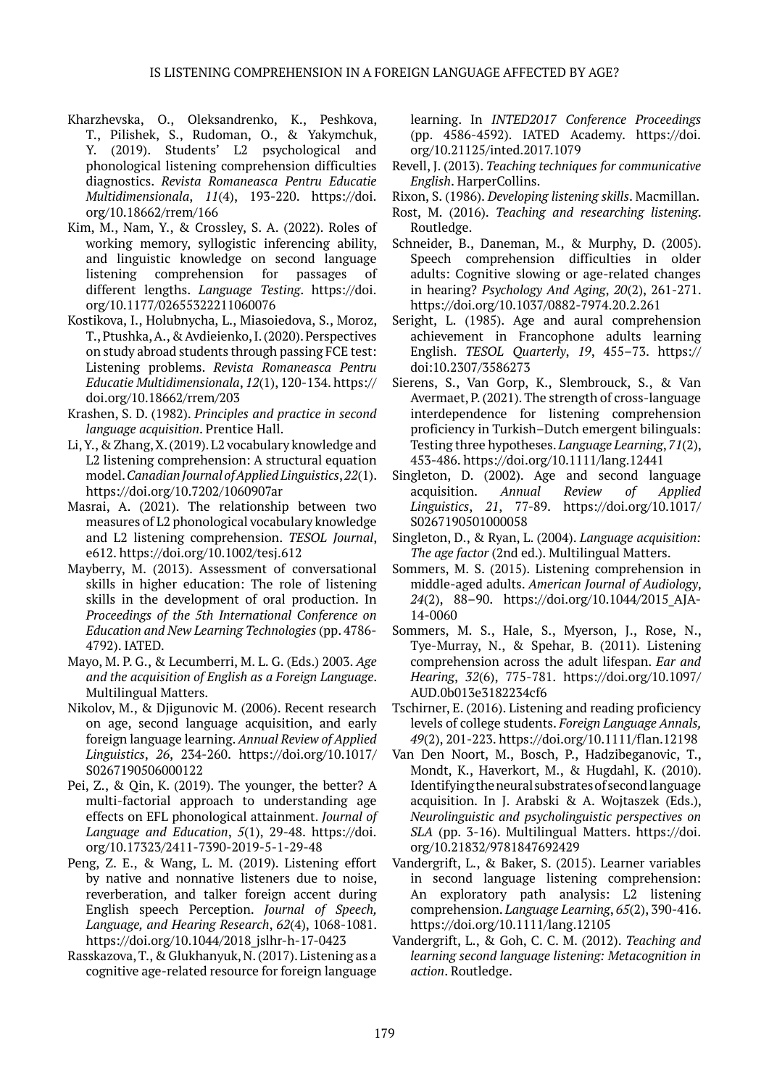- Kharzhevska, O., Oleksandrenko, K., Peshkova, T., Pilishek, S., Rudoman, O., & Yakymchuk, Y. (2019). Students' L2 psychological and phonological listening comprehension difficulties diagnostics. *Revista Romaneasca Pentru Educatie Multidimensionala*, *11*(4), 193-220. https://doi. org/10.18662/rrem/166
- Kim, M., Nam, Y., & Crossley, S. A. (2022). Roles of working memory, syllogistic inferencing ability, and linguistic knowledge on second language listening comprehension for passages of different lengths. *Language Testing*. https://doi. org/10.1177/02655322211060076
- Kostikova, I., Holubnycha, L., Miasoiedova, S., Moroz, T., Ptushka, A., & Avdieienko, I. (2020). Perspectives on study abroad students through passing FCE test: Listening problems. *Revista Romaneasca Pentru Educatie Multidimensionala*, *12*(1), 120-134. https:// doi.org/10.18662/rrem/203
- Krashen, S. D. (1982). *Principles and practice in second language acquisition*. Prentice Hall.
- Li, Y., & Zhang, X. (2019). L2 vocabulary knowledge and L2 listening comprehension: A structural equation model. *Canadian Journal of Applied Linguistics*, *22*(1). https://doi.org/10.7202/1060907ar
- Masrai, A. (2021). The relationship between two measures of L2 phonological vocabulary knowledge and L2 listening comprehension. *TESOL Journal*, e612. https://doi.org/10.1002/tesj.612
- Mayberry, M. (2013). Assessment of conversational skills in higher education: The role of listening skills in the development of oral production. In *Proceedings of the 5th International Conference on Education and New Learning Technologies* (pp. 4786- 4792). IATED.
- Mayo, M. P. G., & Lecumberri, M. L. G. (Eds.) 2003. *Age and the acquisition of English as a Foreign Language*. Multilingual Matters.
- Nikolov, M., & Djigunovic M. (2006). Recent research on age, second language acquisition, and early foreign language learning. *Annual Review of Applied Linguistics*, *26*, 234-260. https://doi.org/10.1017/ S0267190506000122
- Pei, Z., & Qin, K. (2019). The younger, the better? A multi-factorial approach to understanding age effects on EFL phonological attainment. *Journal of Language and Education*, *5*(1), 29-48. https://doi. org/10.17323/2411-7390-2019-5-1-29-48
- Peng, Z. E., & Wang, L. M. (2019). Listening effort by native and nonnative listeners due to noise, reverberation, and talker foreign accent during English speech Perception. *Journal of Speech, Language, and Hearing Research*, *62*(4), 1068-1081. https://doi.org/10.1044/2018\_jslhr-h-17-0423
- Rasskazova, T., & Glukhanyuk, N. (2017). Listening as a cognitive age-related resource for foreign language

learning. In *INTED2017 Conference Proceedings* (pp. 4586-4592). IATED Academy. https://doi. org/10.21125/inted.2017.1079

- Revell, J. (2013). *Teaching techniques for communicative English*. HarperCollins.
- Rixon, S. (1986). *Developing listening skills*. Macmillan.
- Rost, M. (2016). *Teaching and researching listening*. Routledge.
- Schneider, B., Daneman, M., & Murphy, D. (2005). Speech comprehension difficulties in older adults: Cognitive slowing or age-related changes in hearing? *Psychology And Aging*, *20*(2), 261-271. https://doi.org/10.1037/0882-7974.20.2.261
- Seright, L. (1985). Age and aural comprehension achievement in Francophone adults learning English. *TESOL Quarterly*, *19*, 455–73. https:// doi:10.2307/3586273
- Sierens, S., Van Gorp, K., Slembrouck, S., & Van Avermaet, P. (2021). The strength of cross-language interdependence for listening comprehension proficiency in Turkish–Dutch emergent bilinguals: Testing three hypotheses. *Language Learning*, *71*(2), 453-486. https://doi.org/10.1111/lang.12441
- Singleton, D. (2002). Age and second language acquisition. *Annual Review of Applied Linguistics*, *21*, 77-89. https://doi.org/10.1017/ S0267190501000058
- Singleton, D., & Ryan, L. (2004). *Language acquisition: The age factor* (2nd ed.). Multilingual Matters.
- Sommers, M. S. (2015). Listening comprehension in middle-aged adults. *American Journal of Audiology*, *24*(2), 88–90. https://doi.org/10.1044/2015\_AJA-14-0060
- Sommers, M. S., Hale, S., Myerson, J., Rose, N., Tye-Murray, N., & Spehar, B. (2011). Listening comprehension across the adult lifespan. *Ear and Hearing*, *32*(6), 775-781. https://doi.org/10.1097/ AUD.0b013e3182234cf6
- Tschirner, E. (2016). Listening and reading proficiency levels of college students. *Foreign Language Annals, 49*(2), 201-223. https://doi.org/10.1111/flan.12198
- Van Den Noort, M., Bosch, P., Hadzibeganovic, T., Mondt, K., Haverkort, M., & Hugdahl, K. (2010). Identifying the neural substrates of second language acquisition. In J. Arabski & A. Wojtaszek (Eds.), *Neurolinguistic and psycholinguistic perspectives on SLA* (pp. 3-16). Multilingual Matters. https://doi. org/10.21832/9781847692429
- Vandergrift, L., & Baker, S. (2015). Learner variables in second language listening comprehension: An exploratory path analysis: L2 listening comprehension. *Language Learning*, *65*(2), 390-416. https://doi.org/10.1111/lang.12105
- Vandergrift, L., & Goh, C. C. M. (2012). *Teaching and learning second language listening: Metacognition in action*. Routledge.